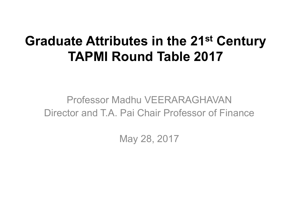# **Graduate Attributes in the 21st Century TAPMI Round Table 2017**

#### Professor Madhu VEERARAGHAVAN Director and T.A. Pai Chair Professor of Finance

May 28, 2017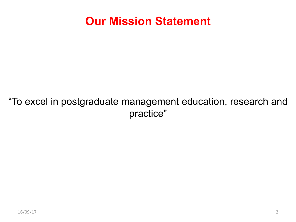#### **Our Mission Statement**

#### "To excel in postgraduate management education, research and practice"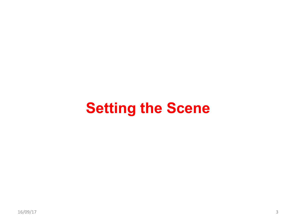# **Setting the Scene**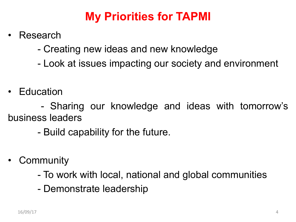# **My Priorities for TAPMI**

- Research
	- Creating new ideas and new knowledge
	- Look at issues impacting our society and environment
- Education

- Sharing our knowledge and ideas with tomorrow's business leaders

- Build capability for the future.
- **Community** 
	- To work with local, national and global communities
	- Demonstrate leadership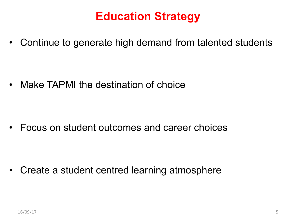## **Education Strategy**

• Continue to generate high demand from talented students

• Make TAPMI the destination of choice

• Focus on student outcomes and career choices

• Create a student centred learning atmosphere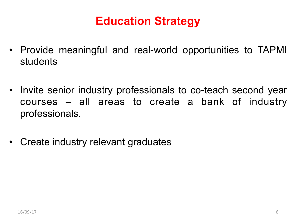# **Education Strategy**

- Provide meaningful and real-world opportunities to TAPMI students
- Invite senior industry professionals to co-teach second year courses – all areas to create a bank of industry professionals.
- Create industry relevant graduates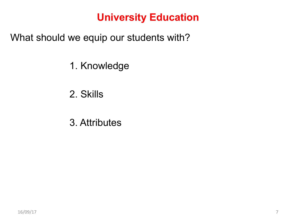#### **University Education**

What should we equip our students with?

- 1. Knowledge
- 2. Skills
- 3. Attributes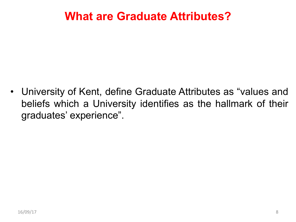• University of Kent, define Graduate Attributes as "values and beliefs which a University identifies as the hallmark of their graduates' experience".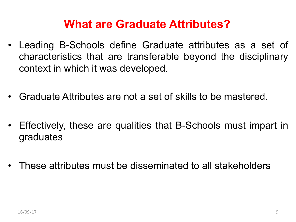- Leading B-Schools define Graduate attributes as a set of characteristics that are transferable beyond the disciplinary context in which it was developed.
- Graduate Attributes are not a set of skills to be mastered.
- Effectively, these are qualities that B-Schools must impart in graduates
- These attributes must be disseminated to all stakeholders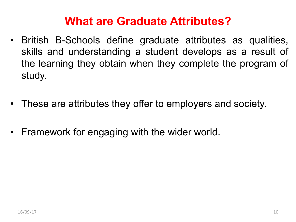- British B-Schools define graduate attributes as qualities, skills and understanding a student develops as a result of the learning they obtain when they complete the program of study.
- These are attributes they offer to employers and society.
- Framework for engaging with the wider world.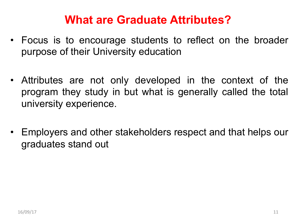- Focus is to encourage students to reflect on the broader purpose of their University education
- Attributes are not only developed in the context of the program they study in but what is generally called the total university experience.
- Employers and other stakeholders respect and that helps our graduates stand out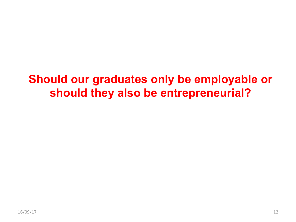# **Should our graduates only be employable or should they also be entrepreneurial?**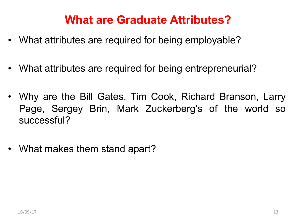- What attributes are required for being employable?
- What attributes are required for being entrepreneurial?
- Why are the Bill Gates, Tim Cook, Richard Branson, Larry Page, Sergey Brin, Mark Zuckerberg's of the world so successful?
- What makes them stand apart?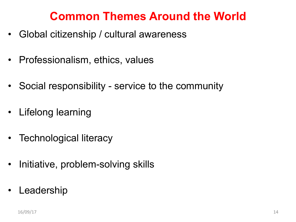#### **Common Themes Around the World**

- Global citizenship / cultural awareness
- Professionalism, ethics, values
- Social responsibility service to the community
- Lifelong learning
- Technological literacy
- Initiative, problem-solving skills
- **Leadership**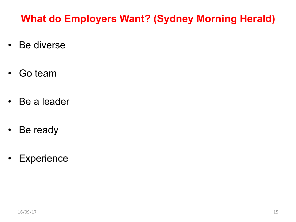#### **What do Employers Want? (Sydney Morning Herald)**

- Be diverse
- Go team
- Be a leader
- Be ready
- Experience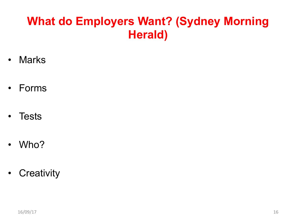# **What do Employers Want? (Sydney Morning Herald)**

- Marks
- Forms
- **Tests**
- Who?
- Creativity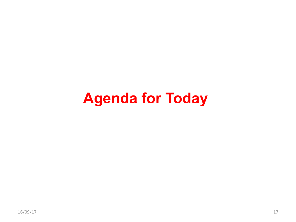# **Agenda for Today**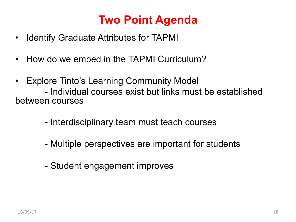# **Two Point Agenda**

- Identify Graduate Attributes for TAPMI
- How do we embed in the TAPMI Curriculum?
- Explore Tinto's Learning Community Model

- Individual courses exist but links must be established between courses

- Interdisciplinary team must teach courses
- Multiple perspectives are important for students
- Student engagement improves